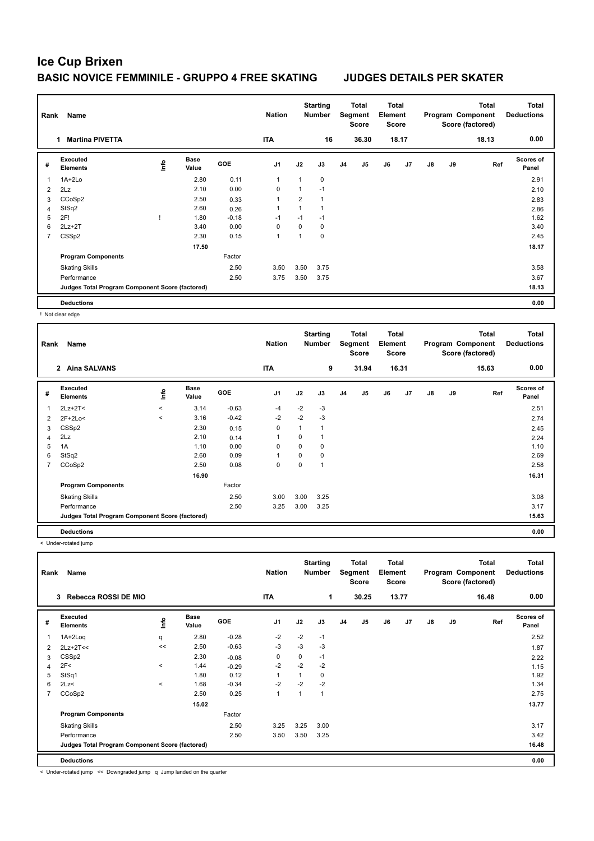| Rank | Name<br><b>Martina PIVETTA</b>                  |      |                      | <b>Nation</b> |                | <b>Starting</b><br><b>Number</b> |             | Total<br>Segment<br><b>Score</b> | <b>Total</b><br>Element<br>Score |    |       |               | Total<br>Program Component<br>Score (factored) | <b>Total</b><br><b>Deductions</b> |                    |
|------|-------------------------------------------------|------|----------------------|---------------|----------------|----------------------------------|-------------|----------------------------------|----------------------------------|----|-------|---------------|------------------------------------------------|-----------------------------------|--------------------|
|      |                                                 |      |                      |               | <b>ITA</b>     |                                  | 16          |                                  | 36.30                            |    | 18.17 |               |                                                | 18.13                             | 0.00               |
| #    | Executed<br><b>Elements</b>                     | lnfo | <b>Base</b><br>Value | GOE           | J <sub>1</sub> | J2                               | J3          | J <sub>4</sub>                   | J <sub>5</sub>                   | J6 | J7    | $\mathsf{J}8$ | J9                                             | Ref                               | Scores of<br>Panel |
| 1    | $1A+2Lo$                                        |      | 2.80                 | 0.11          | 1              | 1                                | $\mathbf 0$ |                                  |                                  |    |       |               |                                                |                                   | 2.91               |
| 2    | 2Lz                                             |      | 2.10                 | 0.00          | 0              | $\overline{1}$                   | $-1$        |                                  |                                  |    |       |               |                                                |                                   | 2.10               |
| 3    | CCoSp2                                          |      | 2.50                 | 0.33          | 1              | $\overline{2}$                   |             |                                  |                                  |    |       |               |                                                |                                   | 2.83               |
| 4    | StSq2                                           |      | 2.60                 | 0.26          |                | $\mathbf{1}$                     |             |                                  |                                  |    |       |               |                                                |                                   | 2.86               |
| 5    | 2F!                                             |      | 1.80                 | $-0.18$       | $-1$           | $-1$                             | $-1$        |                                  |                                  |    |       |               |                                                |                                   | 1.62               |
| 6    | $2Lz+2T$                                        |      | 3.40                 | 0.00          | 0              | 0                                | 0           |                                  |                                  |    |       |               |                                                |                                   | 3.40               |
| 7    | CSSp2                                           |      | 2.30                 | 0.15          | 1              | 1                                | 0           |                                  |                                  |    |       |               |                                                |                                   | 2.45               |
|      |                                                 |      | 17.50                |               |                |                                  |             |                                  |                                  |    |       |               |                                                |                                   | 18.17              |
|      | <b>Program Components</b>                       |      |                      | Factor        |                |                                  |             |                                  |                                  |    |       |               |                                                |                                   |                    |
|      | <b>Skating Skills</b>                           |      |                      | 2.50          | 3.50           | 3.50                             | 3.75        |                                  |                                  |    |       |               |                                                |                                   | 3.58               |
|      | Performance                                     |      |                      | 2.50          | 3.75           | 3.50                             | 3.75        |                                  |                                  |    |       |               |                                                |                                   | 3.67               |
|      | Judges Total Program Component Score (factored) |      |                      |               |                |                                  |             |                                  |                                  |    |       |               |                                                |                                   | 18.13              |
|      | <b>Deductions</b>                               |      |                      |               |                |                                  |             |                                  |                                  |    |       |               |                                                |                                   | 0.00               |

! Not clear edge

| Rank | Name                                            |         |                      |            | <b>Nation</b>  |          | <b>Starting</b><br>Number |                | Total<br>Segment<br>Score | <b>Total</b><br>Element<br><b>Score</b> |                |               |    | <b>Total</b><br>Program Component<br>Score (factored) | <b>Total</b><br><b>Deductions</b> |
|------|-------------------------------------------------|---------|----------------------|------------|----------------|----------|---------------------------|----------------|---------------------------|-----------------------------------------|----------------|---------------|----|-------------------------------------------------------|-----------------------------------|
|      | 2 Aina SALVANS                                  |         |                      |            | <b>ITA</b>     |          | 9                         |                | 31.94                     |                                         | 16.31          |               |    | 15.63                                                 | 0.00                              |
| #    | Executed<br><b>Elements</b>                     | ۴ů      | <b>Base</b><br>Value | <b>GOE</b> | J <sub>1</sub> | J2       | J3                        | J <sub>4</sub> | J <sub>5</sub>            | J6                                      | J <sub>7</sub> | $\mathsf{J}8$ | J9 | Ref                                                   | <b>Scores of</b><br>Panel         |
| 1    | $2Lz+2T2$                                       | $\,<$   | 3.14                 | $-0.63$    | $-4$           | $-2$     | $-3$                      |                |                           |                                         |                |               |    |                                                       | 2.51                              |
| 2    | $2F+2Lo<$                                       | $\prec$ | 3.16                 | $-0.42$    | $-2$           | $-2$     | $-3$                      |                |                           |                                         |                |               |    |                                                       | 2.74                              |
| 3    | CSSp2                                           |         | 2.30                 | 0.15       | 0              | 1        | 1                         |                |                           |                                         |                |               |    |                                                       | 2.45                              |
| 4    | 2Lz                                             |         | 2.10                 | 0.14       | -1             | 0        | 1                         |                |                           |                                         |                |               |    |                                                       | 2.24                              |
| 5    | 1A                                              |         | 1.10                 | 0.00       | 0              | 0        | 0                         |                |                           |                                         |                |               |    |                                                       | 1.10                              |
| 6    | StSq2                                           |         | 2.60                 | 0.09       | $\overline{1}$ | $\Omega$ | 0                         |                |                           |                                         |                |               |    |                                                       | 2.69                              |
| 7    | CCoSp2                                          |         | 2.50                 | 0.08       | $\mathbf 0$    | 0        | 1                         |                |                           |                                         |                |               |    |                                                       | 2.58                              |
|      |                                                 |         | 16.90                |            |                |          |                           |                |                           |                                         |                |               |    |                                                       | 16.31                             |
|      | <b>Program Components</b>                       |         |                      | Factor     |                |          |                           |                |                           |                                         |                |               |    |                                                       |                                   |
|      | <b>Skating Skills</b>                           |         |                      | 2.50       | 3.00           | 3.00     | 3.25                      |                |                           |                                         |                |               |    |                                                       | 3.08                              |
|      | Performance                                     |         |                      | 2.50       | 3.25           | 3.00     | 3.25                      |                |                           |                                         |                |               |    |                                                       | 3.17                              |
|      | Judges Total Program Component Score (factored) |         |                      |            |                |          |                           |                |                           |                                         |                |               |    |                                                       | 15.63                             |
|      | <b>Deductions</b>                               |         |                      |            |                |          |                           |                |                           |                                         |                |               |    |                                                       | 0.00                              |

< Under-rotated jump

|                | <b>Name</b><br>Rank<br>Rebecca ROSSI DE MIO<br>3 |              |                      |            | <b>Nation</b>  |             | <b>Starting</b><br><b>Number</b> |                | Total<br>Segment<br><b>Score</b> | <b>Total</b><br>Element<br><b>Score</b> |       |               |    | <b>Total</b><br>Program Component<br>Score (factored) | <b>Total</b><br><b>Deductions</b> |
|----------------|--------------------------------------------------|--------------|----------------------|------------|----------------|-------------|----------------------------------|----------------|----------------------------------|-----------------------------------------|-------|---------------|----|-------------------------------------------------------|-----------------------------------|
|                |                                                  |              |                      |            | <b>ITA</b>     |             | 1                                |                | 30.25                            |                                         | 13.77 |               |    | 16.48                                                 | 0.00                              |
| #              | Executed<br><b>Elements</b>                      | ١nfo         | <b>Base</b><br>Value | <b>GOE</b> | J <sub>1</sub> | J2          | J3                               | J <sub>4</sub> | J <sub>5</sub>                   | J6                                      | J7    | $\mathsf{J}8$ | J9 | Ref                                                   | <b>Scores of</b><br>Panel         |
|                | 1A+2Loq                                          | q            | 2.80                 | $-0.28$    | $-2$           | $-2$        | $-1$                             |                |                                  |                                         |       |               |    |                                                       | 2.52                              |
| $\overline{2}$ | $2Lz+2T<<$                                       | <<           | 2.50                 | $-0.63$    | $-3$           | $-3$        | $-3$                             |                |                                  |                                         |       |               |    |                                                       | 1.87                              |
| 3              | CSSp2                                            |              | 2.30                 | $-0.08$    | $\mathbf 0$    | $\mathbf 0$ | $-1$                             |                |                                  |                                         |       |               |    |                                                       | 2.22                              |
| 4              | 2F<                                              | $\checkmark$ | 1.44                 | $-0.29$    | $-2$           | $-2$        | $-2$                             |                |                                  |                                         |       |               |    |                                                       | 1.15                              |
| 5              | StSq1                                            |              | 1.80                 | 0.12       | 1              | 1           | 0                                |                |                                  |                                         |       |               |    |                                                       | 1.92                              |
| 6              | 2Lz<                                             | $\prec$      | 1.68                 | $-0.34$    | $-2$           | $-2$        | $-2$                             |                |                                  |                                         |       |               |    |                                                       | 1.34                              |
| $\overline{7}$ | CCoSp2                                           |              | 2.50                 | 0.25       | 1              | 1           |                                  |                |                                  |                                         |       |               |    |                                                       | 2.75                              |
|                |                                                  |              | 15.02                |            |                |             |                                  |                |                                  |                                         |       |               |    |                                                       | 13.77                             |
|                | <b>Program Components</b>                        |              |                      | Factor     |                |             |                                  |                |                                  |                                         |       |               |    |                                                       |                                   |
|                | <b>Skating Skills</b>                            |              |                      | 2.50       | 3.25           | 3.25        | 3.00                             |                |                                  |                                         |       |               |    |                                                       | 3.17                              |
|                | Performance                                      |              |                      | 2.50       | 3.50           | 3.50        | 3.25                             |                |                                  |                                         |       |               |    |                                                       | 3.42                              |
|                | Judges Total Program Component Score (factored)  |              |                      |            |                |             |                                  |                |                                  |                                         |       |               |    |                                                       | 16.48                             |
|                | <b>Deductions</b>                                |              |                      |            |                |             |                                  |                |                                  |                                         |       |               |    |                                                       | 0.00                              |

< Under-rotated jump << Downgraded jump q Jump landed on the quarter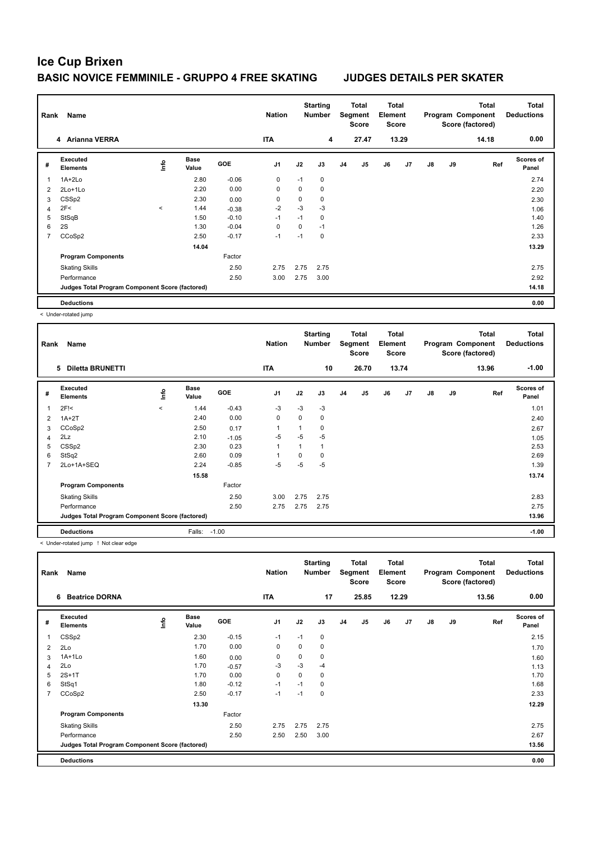|                | Name<br>Rank<br>4 Arianna VERRA                 |                                  |                      |         | <b>Nation</b>  |      | <b>Starting</b><br><b>Number</b> |                | Total<br>Segment<br><b>Score</b> | <b>Total</b><br>Element<br><b>Score</b> |       |               |    | <b>Total</b><br>Program Component<br>Score (factored) | <b>Total</b><br><b>Deductions</b> |
|----------------|-------------------------------------------------|----------------------------------|----------------------|---------|----------------|------|----------------------------------|----------------|----------------------------------|-----------------------------------------|-------|---------------|----|-------------------------------------------------------|-----------------------------------|
|                |                                                 |                                  |                      |         | <b>ITA</b>     |      | 4                                |                | 27.47                            |                                         | 13.29 |               |    | 14.18                                                 | 0.00                              |
| #              | Executed<br><b>Elements</b>                     | $\mathop{\mathsf{Irr}}\nolimits$ | <b>Base</b><br>Value | GOE     | J <sub>1</sub> | J2   | J3                               | J <sub>4</sub> | J <sub>5</sub>                   | J6                                      | J7    | $\mathsf{J}8$ | J9 | Ref                                                   | <b>Scores of</b><br>Panel         |
| $\overline{1}$ | $1A+2Lo$                                        |                                  | 2.80                 | $-0.06$ | 0              | $-1$ | $\mathbf 0$                      |                |                                  |                                         |       |               |    |                                                       | 2.74                              |
| 2              | $2Lo+1Lo$                                       |                                  | 2.20                 | 0.00    | 0              | 0    | 0                                |                |                                  |                                         |       |               |    |                                                       | 2.20                              |
| 3              | CSSp2                                           |                                  | 2.30                 | 0.00    | 0              | 0    | 0                                |                |                                  |                                         |       |               |    |                                                       | 2.30                              |
| 4              | 2F<                                             | $\prec$                          | 1.44                 | $-0.38$ | $-2$           | $-3$ | $-3$                             |                |                                  |                                         |       |               |    |                                                       | 1.06                              |
| 5              | StSqB                                           |                                  | 1.50                 | $-0.10$ | $-1$           | $-1$ | 0                                |                |                                  |                                         |       |               |    |                                                       | 1.40                              |
| 6              | 2S                                              |                                  | 1.30                 | $-0.04$ | 0              | 0    | $-1$                             |                |                                  |                                         |       |               |    |                                                       | 1.26                              |
| 7              | CCoSp2                                          |                                  | 2.50                 | $-0.17$ | $-1$           | $-1$ | 0                                |                |                                  |                                         |       |               |    |                                                       | 2.33                              |
|                |                                                 |                                  | 14.04                |         |                |      |                                  |                |                                  |                                         |       |               |    |                                                       | 13.29                             |
|                | <b>Program Components</b>                       |                                  |                      | Factor  |                |      |                                  |                |                                  |                                         |       |               |    |                                                       |                                   |
|                | <b>Skating Skills</b>                           |                                  |                      | 2.50    | 2.75           | 2.75 | 2.75                             |                |                                  |                                         |       |               |    |                                                       | 2.75                              |
|                | Performance                                     |                                  |                      | 2.50    | 3.00           | 2.75 | 3.00                             |                |                                  |                                         |       |               |    |                                                       | 2.92                              |
|                | Judges Total Program Component Score (factored) |                                  |                      |         |                |      |                                  |                |                                  |                                         |       |               |    |                                                       | 14.18                             |
|                | <b>Deductions</b>                               |                                  |                      |         |                |      |                                  |                |                                  |                                         |       |               |    |                                                       | 0.00                              |

< Under-rotated jump

| Rank | Name<br>5<br>Diletta BRUNETTI                   |         |                      |            | <b>Nation</b>  |      | <b>Starting</b><br><b>Number</b> |                | Total<br>Segment<br><b>Score</b> | Total<br>Element<br>Score |       |               |    | <b>Total</b><br>Program Component<br>Score (factored) | <b>Total</b><br><b>Deductions</b> |
|------|-------------------------------------------------|---------|----------------------|------------|----------------|------|----------------------------------|----------------|----------------------------------|---------------------------|-------|---------------|----|-------------------------------------------------------|-----------------------------------|
|      |                                                 |         |                      |            | <b>ITA</b>     |      | 10                               |                | 26.70                            |                           | 13.74 |               |    | 13.96                                                 | $-1.00$                           |
| #    | <b>Executed</b><br><b>Elements</b>              | ١nfo    | <b>Base</b><br>Value | <b>GOE</b> | J <sub>1</sub> | J2   | J3                               | J <sub>4</sub> | J <sub>5</sub>                   | J6                        | J7    | $\mathsf{J}8$ | J9 | Ref                                                   | <b>Scores of</b><br>Panel         |
| 1    | 2F <sub>1</sub>                                 | $\prec$ | 1.44                 | $-0.43$    | -3             | $-3$ | $-3$                             |                |                                  |                           |       |               |    |                                                       | 1.01                              |
| 2    | $1A+2T$                                         |         | 2.40                 | 0.00       | $\mathbf 0$    | 0    | 0                                |                |                                  |                           |       |               |    |                                                       | 2.40                              |
| 3    | CCoSp2                                          |         | 2.50                 | 0.17       | 1              | 1    | 0                                |                |                                  |                           |       |               |    |                                                       | 2.67                              |
| 4    | 2Lz                                             |         | 2.10                 | $-1.05$    | -5             | $-5$ | $-5$                             |                |                                  |                           |       |               |    |                                                       | 1.05                              |
| 5    | CSSp2                                           |         | 2.30                 | 0.23       | 1              | 1    | 1                                |                |                                  |                           |       |               |    |                                                       | 2.53                              |
| 6    | StSq2                                           |         | 2.60                 | 0.09       |                | 0    | 0                                |                |                                  |                           |       |               |    |                                                       | 2.69                              |
| 7    | 2Lo+1A+SEQ                                      |         | 2.24                 | $-0.85$    | $-5$           | $-5$ | $-5$                             |                |                                  |                           |       |               |    |                                                       | 1.39                              |
|      |                                                 |         | 15.58                |            |                |      |                                  |                |                                  |                           |       |               |    |                                                       | 13.74                             |
|      | <b>Program Components</b>                       |         |                      | Factor     |                |      |                                  |                |                                  |                           |       |               |    |                                                       |                                   |
|      | <b>Skating Skills</b>                           |         |                      | 2.50       | 3.00           | 2.75 | 2.75                             |                |                                  |                           |       |               |    |                                                       | 2.83                              |
|      | Performance                                     |         |                      | 2.50       | 2.75           | 2.75 | 2.75                             |                |                                  |                           |       |               |    |                                                       | 2.75                              |
|      | Judges Total Program Component Score (factored) |         |                      |            |                |      |                                  |                |                                  |                           |       |               |    |                                                       | 13.96                             |
|      | <b>Deductions</b>                               |         | Falls:               | $-1.00$    |                |      |                                  |                |                                  |                           |       |               |    |                                                       | $-1.00$                           |

< Under-rotated jump ! Not clear edge

| Rank           | Name                                            |      |                      |         | <b>Nation</b>  |             | <b>Starting</b><br>Number |                | <b>Total</b><br>Segment<br><b>Score</b> | <b>Total</b><br>Element<br><b>Score</b> |       |               |    | <b>Total</b><br>Program Component<br>Score (factored) | <b>Total</b><br><b>Deductions</b> |
|----------------|-------------------------------------------------|------|----------------------|---------|----------------|-------------|---------------------------|----------------|-----------------------------------------|-----------------------------------------|-------|---------------|----|-------------------------------------------------------|-----------------------------------|
|                | <b>Beatrice DORNA</b><br>6                      |      |                      |         | <b>ITA</b>     |             | 17                        |                | 25.85                                   |                                         | 12.29 |               |    | 13.56                                                 | 0.00                              |
| #              | Executed<br><b>Elements</b>                     | lnfo | <b>Base</b><br>Value | GOE     | J <sub>1</sub> | J2          | J3                        | J <sub>4</sub> | J5                                      | J6                                      | J7    | $\mathsf{J}8$ | J9 | Ref                                                   | Scores of<br>Panel                |
|                | CSSp2                                           |      | 2.30                 | $-0.15$ | $-1$           | $-1$        | $\mathbf 0$               |                |                                         |                                         |       |               |    |                                                       | 2.15                              |
| 2              | 2Lo                                             |      | 1.70                 | 0.00    | 0              | 0           | 0                         |                |                                         |                                         |       |               |    |                                                       | 1.70                              |
| 3              | $1A+1Lo$                                        |      | 1.60                 | 0.00    | $\mathbf 0$    | 0           | 0                         |                |                                         |                                         |       |               |    |                                                       | 1.60                              |
| 4              | 2Lo                                             |      | 1.70                 | $-0.57$ | $-3$           | $-3$        | $-4$                      |                |                                         |                                         |       |               |    |                                                       | 1.13                              |
| 5              | $2S+1T$                                         |      | 1.70                 | 0.00    | $\mathbf 0$    | $\mathbf 0$ | $\mathbf 0$               |                |                                         |                                         |       |               |    |                                                       | 1.70                              |
| 6              | StSq1                                           |      | 1.80                 | $-0.12$ | $-1$           | $-1$        | $\mathbf 0$               |                |                                         |                                         |       |               |    |                                                       | 1.68                              |
| $\overline{7}$ | CCoSp2                                          |      | 2.50                 | $-0.17$ | $-1$           | $-1$        | $\mathbf 0$               |                |                                         |                                         |       |               |    |                                                       | 2.33                              |
|                |                                                 |      | 13.30                |         |                |             |                           |                |                                         |                                         |       |               |    |                                                       | 12.29                             |
|                | <b>Program Components</b>                       |      |                      | Factor  |                |             |                           |                |                                         |                                         |       |               |    |                                                       |                                   |
|                | <b>Skating Skills</b>                           |      |                      | 2.50    | 2.75           | 2.75        | 2.75                      |                |                                         |                                         |       |               |    |                                                       | 2.75                              |
|                | Performance                                     |      |                      | 2.50    | 2.50           | 2.50        | 3.00                      |                |                                         |                                         |       |               |    |                                                       | 2.67                              |
|                | Judges Total Program Component Score (factored) |      |                      |         |                |             |                           |                |                                         |                                         |       |               |    |                                                       | 13.56                             |
|                | <b>Deductions</b>                               |      |                      |         |                |             |                           |                |                                         |                                         |       |               |    |                                                       | 0.00                              |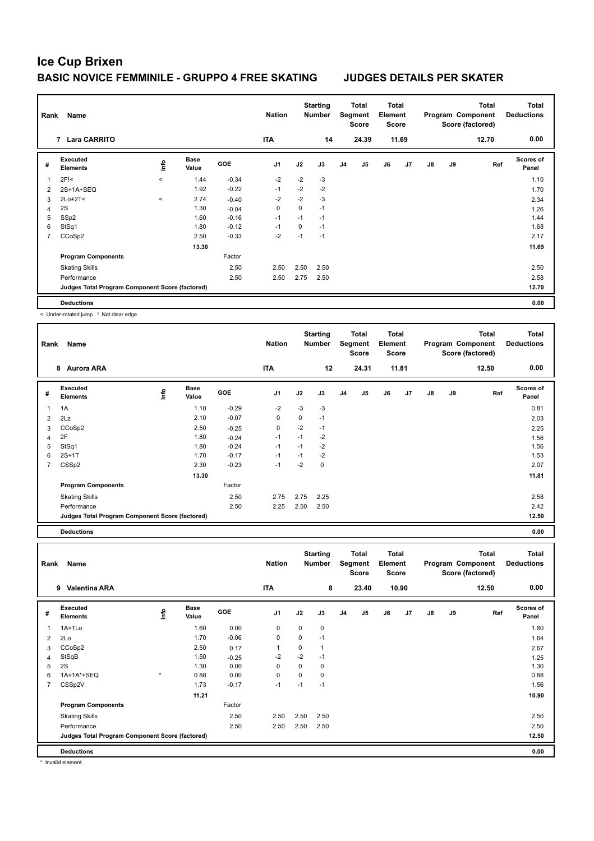|                | Rank<br>Name<br>7 Lara CARRITO                  |         |                      |            | <b>Nation</b>  |      | <b>Starting</b><br><b>Number</b> |                | Total<br>Segment<br><b>Score</b> | Total<br>Element<br>Score |       |               |    | <b>Total</b><br>Program Component<br>Score (factored) | <b>Total</b><br><b>Deductions</b> |
|----------------|-------------------------------------------------|---------|----------------------|------------|----------------|------|----------------------------------|----------------|----------------------------------|---------------------------|-------|---------------|----|-------------------------------------------------------|-----------------------------------|
|                |                                                 |         |                      |            | <b>ITA</b>     |      | 14                               |                | 24.39                            |                           | 11.69 |               |    | 12.70                                                 | 0.00                              |
| #              | Executed<br><b>Elements</b>                     | ١nfo    | <b>Base</b><br>Value | <b>GOE</b> | J <sub>1</sub> | J2   | J3                               | J <sub>4</sub> | J <sub>5</sub>                   | J6                        | J7    | $\mathsf{J}8$ | J9 | Ref                                                   | <b>Scores of</b><br>Panel         |
| $\overline{1}$ | $2F$ !<                                         | $\prec$ | 1.44                 | $-0.34$    | $-2$           | $-2$ | $-3$                             |                |                                  |                           |       |               |    |                                                       | 1.10                              |
| 2              | 2S+1A+SEQ                                       |         | 1.92                 | $-0.22$    | $-1$           | $-2$ | $-2$                             |                |                                  |                           |       |               |    |                                                       | 1.70                              |
| 3              | $2Lo+2T<$                                       | $\,<$   | 2.74                 | $-0.40$    | $-2$           | $-2$ | $-3$                             |                |                                  |                           |       |               |    |                                                       | 2.34                              |
| 4              | 2S                                              |         | 1.30                 | $-0.04$    | 0              | 0    | $-1$                             |                |                                  |                           |       |               |    |                                                       | 1.26                              |
| 5              | SSp2                                            |         | 1.60                 | $-0.16$    | $-1$           | $-1$ | $-1$                             |                |                                  |                           |       |               |    |                                                       | 1.44                              |
| 6              | StSq1                                           |         | 1.80                 | $-0.12$    | $-1$           | 0    | $-1$                             |                |                                  |                           |       |               |    |                                                       | 1.68                              |
| 7              | CCoSp2                                          |         | 2.50                 | $-0.33$    | $-2$           | $-1$ | $-1$                             |                |                                  |                           |       |               |    |                                                       | 2.17                              |
|                |                                                 |         | 13.30                |            |                |      |                                  |                |                                  |                           |       |               |    |                                                       | 11.69                             |
|                | <b>Program Components</b>                       |         |                      | Factor     |                |      |                                  |                |                                  |                           |       |               |    |                                                       |                                   |
|                | <b>Skating Skills</b>                           |         |                      | 2.50       | 2.50           | 2.50 | 2.50                             |                |                                  |                           |       |               |    |                                                       | 2.50                              |
|                | Performance                                     |         |                      | 2.50       | 2.50           | 2.75 | 2.50                             |                |                                  |                           |       |               |    |                                                       | 2.58                              |
|                | Judges Total Program Component Score (factored) |         |                      |            |                |      |                                  |                |                                  |                           |       |               |    |                                                       | 12.70                             |
|                | <b>Deductions</b>                               |         |                      |            |                |      |                                  |                |                                  |                           |       |               |    |                                                       | 0.00                              |

< Under-rotated jump ! Not clear edge

| Rank           | Name                                            |                |                      |            | <b>Nation</b>  |      | <b>Starting</b><br><b>Number</b> |    | Total<br>Segment<br><b>Score</b> | Total<br>Element<br><b>Score</b> |       |               |    | <b>Total</b><br>Program Component<br>Score (factored) | <b>Total</b><br><b>Deductions</b> |
|----------------|-------------------------------------------------|----------------|----------------------|------------|----------------|------|----------------------------------|----|----------------------------------|----------------------------------|-------|---------------|----|-------------------------------------------------------|-----------------------------------|
|                | 8 Aurora ARA                                    |                |                      |            | <b>ITA</b>     |      | 12                               |    | 24.31                            |                                  | 11.81 |               |    | 12.50                                                 | 0.00                              |
| #              | Executed<br><b>Elements</b>                     | $\frac{6}{10}$ | <b>Base</b><br>Value | <b>GOE</b> | J <sub>1</sub> | J2   | J3                               | J4 | J <sub>5</sub>                   | J6                               | J7    | $\mathsf{J}8$ | J9 | Ref                                                   | <b>Scores of</b><br>Panel         |
| $\mathbf{1}$   | 1A                                              |                | 1.10                 | $-0.29$    | $-2$           | $-3$ | $-3$                             |    |                                  |                                  |       |               |    |                                                       | 0.81                              |
| $\overline{2}$ | 2Lz                                             |                | 2.10                 | $-0.07$    | $\mathbf 0$    | 0    | $-1$                             |    |                                  |                                  |       |               |    |                                                       | 2.03                              |
| 3              | CCoSp2                                          |                | 2.50                 | $-0.25$    | 0              | $-2$ | $-1$                             |    |                                  |                                  |       |               |    |                                                       | 2.25                              |
| 4              | 2F                                              |                | 1.80                 | $-0.24$    | $-1$           | $-1$ | $-2$                             |    |                                  |                                  |       |               |    |                                                       | 1.56                              |
| 5              | StSq1                                           |                | 1.80                 | $-0.24$    | $-1$           | $-1$ | $-2$                             |    |                                  |                                  |       |               |    |                                                       | 1.56                              |
| 6              | $2S+1T$                                         |                | 1.70                 | $-0.17$    | $-1$           | $-1$ | $-2$                             |    |                                  |                                  |       |               |    |                                                       | 1.53                              |
| 7              | CSSp2                                           |                | 2.30                 | $-0.23$    | $-1$           | $-2$ | 0                                |    |                                  |                                  |       |               |    |                                                       | 2.07                              |
|                |                                                 |                | 13.30                |            |                |      |                                  |    |                                  |                                  |       |               |    |                                                       | 11.81                             |
|                | <b>Program Components</b>                       |                |                      | Factor     |                |      |                                  |    |                                  |                                  |       |               |    |                                                       |                                   |
|                | <b>Skating Skills</b>                           |                |                      | 2.50       | 2.75           | 2.75 | 2.25                             |    |                                  |                                  |       |               |    |                                                       | 2.58                              |
|                | Performance                                     |                |                      | 2.50       | 2.25           | 2.50 | 2.50                             |    |                                  |                                  |       |               |    |                                                       | 2.42                              |
|                | Judges Total Program Component Score (factored) |                |                      |            |                |      |                                  |    |                                  |                                  |       |               |    |                                                       | 12.50                             |
|                | <b>Deductions</b>                               |                |                      |            |                |      |                                  |    |                                  |                                  |       |               |    |                                                       | 0.00                              |

**Total Deductions Total Program Component Score (factored) Total Element Score Total Segment Score Starting Rank Name Nation Number # Executed Elements Base Value GOE J1 J2 J3 J4 J5 J6 J7 J8 J9 Scores of Panel** 1 1.60 0.00 0 0 0 **Ref**  1A+1Lo 1.60 **Info 9 Valentina ARA ITA 8 23.40 10.90 12.50 0.00** 2 2Lo 1.70 -0.06 0 0 -1 1.64 3 CCoSp2 2.50 0.17 1 0 1 2.67 4 StSqB 1.50 -0.25 -2 -2 -1 1.25 5 2S 1.30 0.00 0 0 0 1.30 6 1A+1A\*+SEQ \* 0.88 0.00 0 0 0 0.88 7 CSSp2V 1.73 -0.17 -1 -1 -1 1.56 **11.21 10.90 Program Components**  Skating Skills 2.50 2.50 2.50 2.50 2.50 Factor Performance 2.50 2.50 2.50 2.50 2.50 **Deductions 0.00 Judges Total Program Component Score (factored) 12.50**

\* Invalid element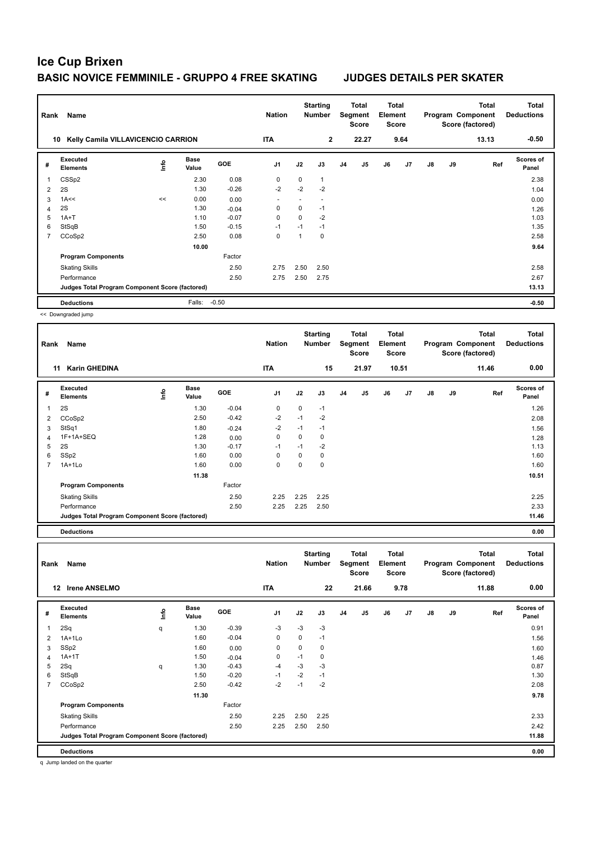| Rank           | <b>Name</b>                                     |    | <b>Nation</b>        |            | <b>Starting</b><br><b>Number</b> |             | Total<br>Segment<br><b>Score</b> | <b>Total</b><br>Element<br><b>Score</b> |       |    |      | <b>Total</b><br>Program Component<br>Score (factored) | <b>Total</b><br><b>Deductions</b> |       |                           |
|----------------|-------------------------------------------------|----|----------------------|------------|----------------------------------|-------------|----------------------------------|-----------------------------------------|-------|----|------|-------------------------------------------------------|-----------------------------------|-------|---------------------------|
|                | Kelly Camila VILLAVICENCIO CARRION<br>10        |    |                      |            | <b>ITA</b>                       |             | $\overline{2}$                   |                                         | 22.27 |    | 9.64 |                                                       |                                   | 13.13 | $-0.50$                   |
| #              | Executed<br><b>Elements</b>                     | ۴  | <b>Base</b><br>Value | <b>GOE</b> | J <sub>1</sub>                   | J2          | J3                               | J <sub>4</sub>                          | J5    | J6 | J7   | J8                                                    | J9                                | Ref   | <b>Scores of</b><br>Panel |
| 1              | CSSp2                                           |    | 2.30                 | 0.08       | $\mathbf 0$                      | $\mathbf 0$ | $\mathbf{1}$                     |                                         |       |    |      |                                                       |                                   |       | 2.38                      |
| $\overline{2}$ | 2S                                              |    | 1.30                 | $-0.26$    | $-2$                             | $-2$        | $-2$                             |                                         |       |    |      |                                                       |                                   |       | 1.04                      |
| 3              | 1A<<                                            | << | 0.00                 | 0.00       |                                  |             |                                  |                                         |       |    |      |                                                       |                                   |       | 0.00                      |
| $\overline{4}$ | 2S                                              |    | 1.30                 | $-0.04$    | 0                                | 0           | $-1$                             |                                         |       |    |      |                                                       |                                   |       | 1.26                      |
| 5              | $1A+T$                                          |    | 1.10                 | $-0.07$    | $\Omega$                         | $\Omega$    | $-2$                             |                                         |       |    |      |                                                       |                                   |       | 1.03                      |
| 6              | StSqB                                           |    | 1.50                 | $-0.15$    | $-1$                             | $-1$        | $-1$                             |                                         |       |    |      |                                                       |                                   |       | 1.35                      |
| $\overline{7}$ | CCoSp2                                          |    | 2.50                 | 0.08       | $\mathbf 0$                      | 1           | 0                                |                                         |       |    |      |                                                       |                                   |       | 2.58                      |
|                |                                                 |    | 10.00                |            |                                  |             |                                  |                                         |       |    |      |                                                       |                                   |       | 9.64                      |
|                | <b>Program Components</b>                       |    |                      | Factor     |                                  |             |                                  |                                         |       |    |      |                                                       |                                   |       |                           |
|                | <b>Skating Skills</b>                           |    |                      | 2.50       | 2.75                             | 2.50        | 2.50                             |                                         |       |    |      |                                                       |                                   |       | 2.58                      |
|                | Performance                                     |    |                      | 2.50       | 2.75                             | 2.50        | 2.75                             |                                         |       |    |      |                                                       |                                   |       | 2.67                      |
|                | Judges Total Program Component Score (factored) |    |                      |            |                                  |             |                                  |                                         |       |    |      |                                                       |                                   |       | 13.13                     |
|                | <b>Deductions</b>                               |    | Falls:               | $-0.50$    |                                  |             |                                  |                                         |       |    |      |                                                       |                                   |       | $-0.50$                   |

<< Downgraded jump

| Rank | Name                                            |   |                      |            | <b>Nation</b>  |      | <b>Starting</b><br>Number |    | Total<br>Segment<br><b>Score</b> | Total<br>Element<br><b>Score</b> |       |               |    | Total<br>Program Component<br>Score (factored) | <b>Total</b><br><b>Deductions</b> |
|------|-------------------------------------------------|---|----------------------|------------|----------------|------|---------------------------|----|----------------------------------|----------------------------------|-------|---------------|----|------------------------------------------------|-----------------------------------|
|      | <b>Karin GHEDINA</b><br>11                      |   |                      |            | <b>ITA</b>     |      | 15                        |    | 21.97                            |                                  | 10.51 |               |    | 11.46                                          | 0.00                              |
| #    | Executed<br><b>Elements</b>                     | 울 | <b>Base</b><br>Value | <b>GOE</b> | J <sub>1</sub> | J2   | J3                        | J4 | J <sub>5</sub>                   | J6                               | J7    | $\mathsf{J}8$ | J9 | Ref                                            | <b>Scores of</b><br>Panel         |
| 1    | 2S                                              |   | 1.30                 | $-0.04$    | 0              | 0    | $-1$                      |    |                                  |                                  |       |               |    |                                                | 1.26                              |
| 2    | CCoSp2                                          |   | 2.50                 | $-0.42$    | $-2$           | $-1$ | $-2$                      |    |                                  |                                  |       |               |    |                                                | 2.08                              |
| 3    | StSq1                                           |   | 1.80                 | $-0.24$    | $-2$           | $-1$ | $-1$                      |    |                                  |                                  |       |               |    |                                                | 1.56                              |
| 4    | 1F+1A+SEQ                                       |   | 1.28                 | 0.00       | 0              | 0    | 0                         |    |                                  |                                  |       |               |    |                                                | 1.28                              |
| 5    | 2S                                              |   | 1.30                 | $-0.17$    | $-1$           | $-1$ | $-2$                      |    |                                  |                                  |       |               |    |                                                | 1.13                              |
| 6    | SSp2                                            |   | 1.60                 | 0.00       | 0              | 0    | 0                         |    |                                  |                                  |       |               |    |                                                | 1.60                              |
| 7    | $1A+1L0$                                        |   | 1.60                 | 0.00       | $\mathbf 0$    | 0    | 0                         |    |                                  |                                  |       |               |    |                                                | 1.60                              |
|      |                                                 |   | 11.38                |            |                |      |                           |    |                                  |                                  |       |               |    |                                                | 10.51                             |
|      | <b>Program Components</b>                       |   |                      | Factor     |                |      |                           |    |                                  |                                  |       |               |    |                                                |                                   |
|      | <b>Skating Skills</b>                           |   |                      | 2.50       | 2.25           | 2.25 | 2.25                      |    |                                  |                                  |       |               |    |                                                | 2.25                              |
|      | Performance                                     |   |                      | 2.50       | 2.25           | 2.25 | 2.50                      |    |                                  |                                  |       |               |    |                                                | 2.33                              |
|      | Judges Total Program Component Score (factored) |   |                      |            |                |      |                           |    |                                  |                                  |       |               |    |                                                | 11.46                             |
|      | <b>Deductions</b>                               |   |                      |            |                |      |                           |    |                                  |                                  |       |               |    |                                                | 0.00                              |

**Total Deductions Total Program Component Score (factored) Total Element Score Total Segment Score Starting Rank Name Nation Number # Executed Elements Base Value GOE J1 J2 J3 J4 J5 J6 J7 J8 J9 Scores of Panel** 1 1.30 -0.39 -3 -3 -3 **Ref**  2Sq q 0.91 **Info 12 Irene ANSELMO ITA 22 21.66 9.78 11.88 0.00** 2 1A+1Lo 1.60 -0.04 0 0 -1 1.56 3 SSp2 1.60 0.00 0 0 0 1.60 4 1A+1T 1.50 -0.04 0 -1 0 1.46  $5 \quad 2$ Sq  $\qquad \qquad$  q  $1.30 \quad -0.43$   $-4$   $-3$   $-3$ 6 StSqB 1.50 -0.20 -1 -2 -1 1.30 7 CCoSp2 2.50 -0.42 -2 -1 -2 2.08 **11.30 9.78 Program Components**  Skating Skills 2.25 2.50 2.25 2.50 2.33 Factor Performance 2.50 2.25 2.50 2.50 2.42 **Deductions 0.00 Judges Total Program Component Score (factored) 11.88**

q Jump landed on the quarter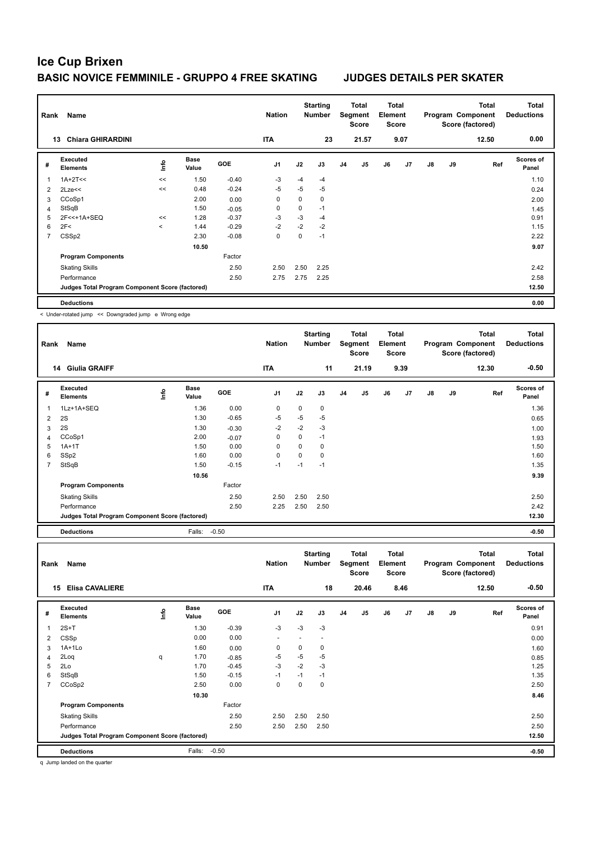|                | <b>Name</b><br>Rank<br><b>Chiara GHIRARDINI</b><br>13 |         |               |            | <b>Nation</b>  |             | <b>Starting</b><br><b>Number</b> |    | Total<br>Segment<br><b>Score</b> | <b>Total</b><br>Element<br><b>Score</b> |      |    |    | <b>Total</b><br>Program Component<br>Score (factored) | <b>Total</b><br><b>Deductions</b> |
|----------------|-------------------------------------------------------|---------|---------------|------------|----------------|-------------|----------------------------------|----|----------------------------------|-----------------------------------------|------|----|----|-------------------------------------------------------|-----------------------------------|
|                |                                                       |         |               |            | <b>ITA</b>     |             | 23                               |    | 21.57                            |                                         | 9.07 |    |    | 12.50                                                 | 0.00                              |
| #              | Executed<br><b>Elements</b>                           | lnfo    | Base<br>Value | <b>GOE</b> | J <sub>1</sub> | J2          | J3                               | J4 | J <sub>5</sub>                   | J6                                      | J7   | J8 | J9 | Ref                                                   | <b>Scores of</b><br>Panel         |
|                | $1A+2T<<$                                             | <<      | 1.50          | $-0.40$    | $-3$           | $-4$        | $-4$                             |    |                                  |                                         |      |    |    |                                                       | 1.10                              |
| $\overline{2}$ | $2$ Lze $<<$                                          | <<      | 0.48          | $-0.24$    | -5             | $-5$        | $-5$                             |    |                                  |                                         |      |    |    |                                                       | 0.24                              |
| 3              | CCoSp1                                                |         | 2.00          | 0.00       | $\mathbf 0$    | $\mathbf 0$ | 0                                |    |                                  |                                         |      |    |    |                                                       | 2.00                              |
| 4              | StSqB                                                 |         | 1.50          | $-0.05$    | 0              | 0           | $-1$                             |    |                                  |                                         |      |    |    |                                                       | 1.45                              |
| 5              | 2F<<+1A+SEQ                                           | <<      | 1.28          | $-0.37$    | -3             | $-3$        | -4                               |    |                                  |                                         |      |    |    |                                                       | 0.91                              |
| 6              | 2F<                                                   | $\prec$ | 1.44          | $-0.29$    | $-2$           | $-2$        | $-2$                             |    |                                  |                                         |      |    |    |                                                       | 1.15                              |
| $\overline{7}$ | CSSp2                                                 |         | 2.30          | $-0.08$    | 0              | 0           | $-1$                             |    |                                  |                                         |      |    |    |                                                       | 2.22                              |
|                |                                                       |         | 10.50         |            |                |             |                                  |    |                                  |                                         |      |    |    |                                                       | 9.07                              |
|                | <b>Program Components</b>                             |         |               | Factor     |                |             |                                  |    |                                  |                                         |      |    |    |                                                       |                                   |
|                | <b>Skating Skills</b>                                 |         |               | 2.50       | 2.50           | 2.50        | 2.25                             |    |                                  |                                         |      |    |    |                                                       | 2.42                              |
|                | Performance                                           |         |               | 2.50       | 2.75           | 2.75        | 2.25                             |    |                                  |                                         |      |    |    |                                                       | 2.58                              |
|                | Judges Total Program Component Score (factored)       |         |               |            |                |             |                                  |    |                                  |                                         |      |    |    |                                                       | 12.50                             |
|                | <b>Deductions</b>                                     |         |               |            |                |             |                                  |    |                                  |                                         |      |    |    |                                                       | 0.00                              |

< Under-rotated jump << Downgraded jump e Wrong edge

| Rank           | Name                                            |    | <b>Nation</b>        |            | <b>Starting</b><br><b>Number</b> |             | Total<br>Segment<br><b>Score</b> | Total<br>Element<br><b>Score</b> |                |    |      | <b>Total</b><br>Program Component<br>Score (factored) | <b>Total</b><br><b>Deductions</b> |       |                           |
|----------------|-------------------------------------------------|----|----------------------|------------|----------------------------------|-------------|----------------------------------|----------------------------------|----------------|----|------|-------------------------------------------------------|-----------------------------------|-------|---------------------------|
|                | <b>Giulia GRAIFF</b><br>14                      |    |                      |            | <b>ITA</b>                       |             | 11                               |                                  | 21.19          |    | 9.39 |                                                       |                                   | 12.30 | $-0.50$                   |
| #              | Executed<br><b>Elements</b>                     | ۴ů | <b>Base</b><br>Value | <b>GOE</b> | J <sub>1</sub>                   | J2          | J3                               | J <sub>4</sub>                   | J <sub>5</sub> | J6 | J7   | J8                                                    | J9                                | Ref   | <b>Scores of</b><br>Panel |
| 1              | 1Lz+1A+SEQ                                      |    | 1.36                 | 0.00       | 0                                | $\mathbf 0$ | 0                                |                                  |                |    |      |                                                       |                                   |       | 1.36                      |
| $\overline{2}$ | 2S                                              |    | 1.30                 | $-0.65$    | -5                               | $-5$        | $-5$                             |                                  |                |    |      |                                                       |                                   |       | 0.65                      |
| 3              | 2S                                              |    | 1.30                 | $-0.30$    | $-2$                             | $-2$        | $-3$                             |                                  |                |    |      |                                                       |                                   |       | 1.00                      |
| 4              | CCoSp1                                          |    | 2.00                 | $-0.07$    | 0                                | 0           | $-1$                             |                                  |                |    |      |                                                       |                                   |       | 1.93                      |
| 5              | $1A+1T$                                         |    | 1.50                 | 0.00       | 0                                | $\Omega$    | 0                                |                                  |                |    |      |                                                       |                                   |       | 1.50                      |
| 6              | SSp2                                            |    | 1.60                 | 0.00       | $\mathbf 0$                      | $\Omega$    | 0                                |                                  |                |    |      |                                                       |                                   |       | 1.60                      |
| 7              | StSqB                                           |    | 1.50                 | $-0.15$    | $-1$                             | $-1$        | $-1$                             |                                  |                |    |      |                                                       |                                   |       | 1.35                      |
|                |                                                 |    | 10.56                |            |                                  |             |                                  |                                  |                |    |      |                                                       |                                   |       | 9.39                      |
|                | <b>Program Components</b>                       |    |                      | Factor     |                                  |             |                                  |                                  |                |    |      |                                                       |                                   |       |                           |
|                | <b>Skating Skills</b>                           |    |                      | 2.50       | 2.50                             | 2.50        | 2.50                             |                                  |                |    |      |                                                       |                                   |       | 2.50                      |
|                | Performance                                     |    |                      | 2.50       | 2.25                             | 2.50        | 2.50                             |                                  |                |    |      |                                                       |                                   |       | 2.42                      |
|                | Judges Total Program Component Score (factored) |    |                      |            |                                  |             |                                  |                                  |                |    |      |                                                       |                                   |       | 12.30                     |
|                | <b>Deductions</b>                               |    | Falls:               | $-0.50$    |                                  |             |                                  |                                  |                |    |      |                                                       |                                   |       | $-0.50$                   |

| Rank                     | Name                                            |      |                      |         | <b>Nation</b>  |                          | <b>Starting</b><br><b>Number</b> |                | <b>Total</b><br>Segment<br><b>Score</b> | <b>Total</b><br>Element<br><b>Score</b> |      |               |    | <b>Total</b><br>Program Component<br>Score (factored) | <b>Total</b><br><b>Deductions</b> |
|--------------------------|-------------------------------------------------|------|----------------------|---------|----------------|--------------------------|----------------------------------|----------------|-----------------------------------------|-----------------------------------------|------|---------------|----|-------------------------------------------------------|-----------------------------------|
|                          | <b>Elisa CAVALIERE</b><br>15                    |      |                      |         | <b>ITA</b>     |                          | 18                               |                | 20.46                                   |                                         | 8.46 |               |    | 12.50                                                 | $-0.50$                           |
| #                        | Executed<br><b>Elements</b>                     | lnfo | <b>Base</b><br>Value | GOE     | J <sub>1</sub> | J2                       | J3                               | J <sub>4</sub> | J <sub>5</sub>                          | J6                                      | J7   | $\mathsf{J}8$ | J9 | Ref                                                   | Scores of<br>Panel                |
| $\overline{\phantom{a}}$ | $2S+T$                                          |      | 1.30                 | $-0.39$ | $-3$           | $-3$                     | $-3$                             |                |                                         |                                         |      |               |    |                                                       | 0.91                              |
| $\overline{2}$           | CSSp                                            |      | 0.00                 | 0.00    | $\sim$         | $\overline{\phantom{a}}$ | $\overline{\phantom{a}}$         |                |                                         |                                         |      |               |    |                                                       | 0.00                              |
| 3                        | 1A+1Lo                                          |      | 1.60                 | 0.00    | 0              | 0                        | 0                                |                |                                         |                                         |      |               |    |                                                       | 1.60                              |
| 4                        | 2Loq                                            | q    | 1.70                 | $-0.85$ | $-5$           | $-5$                     | $-5$                             |                |                                         |                                         |      |               |    |                                                       | 0.85                              |
| 5                        | 2Lo                                             |      | 1.70                 | $-0.45$ | $-3$           | $-2$                     | $-3$                             |                |                                         |                                         |      |               |    |                                                       | 1.25                              |
| 6                        | StSqB                                           |      | 1.50                 | $-0.15$ | $-1$           | $-1$                     | $-1$                             |                |                                         |                                         |      |               |    |                                                       | 1.35                              |
| $\overline{7}$           | CCoSp2                                          |      | 2.50                 | 0.00    | 0              | 0                        | 0                                |                |                                         |                                         |      |               |    |                                                       | 2.50                              |
|                          |                                                 |      | 10.30                |         |                |                          |                                  |                |                                         |                                         |      |               |    |                                                       | 8.46                              |
|                          | <b>Program Components</b>                       |      |                      | Factor  |                |                          |                                  |                |                                         |                                         |      |               |    |                                                       |                                   |
|                          | <b>Skating Skills</b>                           |      |                      | 2.50    | 2.50           | 2.50                     | 2.50                             |                |                                         |                                         |      |               |    |                                                       | 2.50                              |
|                          | Performance                                     |      |                      | 2.50    | 2.50           | 2.50                     | 2.50                             |                |                                         |                                         |      |               |    |                                                       | 2.50                              |
|                          | Judges Total Program Component Score (factored) |      |                      |         |                |                          |                                  |                |                                         |                                         |      |               |    |                                                       | 12.50                             |
|                          | <b>Deductions</b>                               |      | Falls:               | $-0.50$ |                |                          |                                  |                |                                         |                                         |      |               |    |                                                       | $-0.50$                           |

q Jump landed on the quarter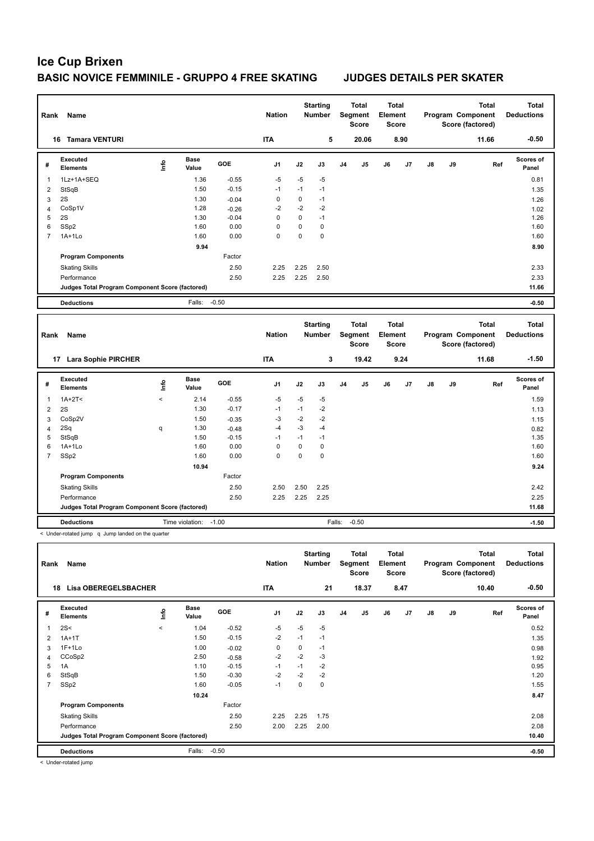| Rank                    | Name                                            |                                  |                      |            | <b>Nation</b>  |           | <b>Starting</b><br>Number |    | <b>Total</b><br>Segment<br><b>Score</b> | <b>Total</b><br>Element<br><b>Score</b> |      |    |    | Program Component<br>Score (factored) | <b>Total</b> | <b>Total</b><br><b>Deductions</b> |
|-------------------------|-------------------------------------------------|----------------------------------|----------------------|------------|----------------|-----------|---------------------------|----|-----------------------------------------|-----------------------------------------|------|----|----|---------------------------------------|--------------|-----------------------------------|
|                         | 16 Tamara VENTURI                               |                                  |                      |            | <b>ITA</b>     |           | 5                         |    | 20.06                                   |                                         | 8.90 |    |    | 11.66                                 |              | $-0.50$                           |
| #                       | Executed<br><b>Elements</b>                     | $\mathop{\mathsf{Int}}\nolimits$ | <b>Base</b><br>Value | <b>GOE</b> | J <sub>1</sub> | J2        | J3                        | J4 | J <sub>5</sub>                          | J6                                      | J7   | J8 | J9 |                                       | Ref          | <b>Scores of</b><br>Panel         |
| 1                       | 1Lz+1A+SEQ                                      |                                  | 1.36                 | $-0.55$    | $-5$           | $-5$      | $-5$                      |    |                                         |                                         |      |    |    |                                       |              | 0.81                              |
| $\overline{\mathbf{c}}$ | StSqB                                           |                                  | 1.50                 | $-0.15$    | $-1$           | $-1$      | $-1$                      |    |                                         |                                         |      |    |    |                                       |              | 1.35                              |
| 3                       | 2S                                              |                                  | 1.30                 | $-0.04$    | 0              | 0         | $-1$                      |    |                                         |                                         |      |    |    |                                       |              | 1.26                              |
| 4                       | CoSp1V                                          |                                  | 1.28                 | $-0.26$    | $-2$           | $-2$      | $-2$                      |    |                                         |                                         |      |    |    |                                       |              | 1.02                              |
| 5                       | 2S                                              |                                  | 1.30                 | $-0.04$    | 0              | 0         | $-1$                      |    |                                         |                                         |      |    |    |                                       |              | 1.26                              |
| 6                       | SSp2                                            |                                  | 1.60                 | 0.00       | 0              | 0         | $\mathbf 0$               |    |                                         |                                         |      |    |    |                                       |              | 1.60                              |
| $\overline{7}$          | $1A+1Lo$                                        |                                  | 1.60                 | 0.00       | 0              | 0         | $\mathbf 0$               |    |                                         |                                         |      |    |    |                                       |              | 1.60                              |
|                         |                                                 |                                  | 9.94                 |            |                |           |                           |    |                                         |                                         |      |    |    |                                       |              | 8.90                              |
|                         | <b>Program Components</b>                       |                                  |                      | Factor     |                |           |                           |    |                                         |                                         |      |    |    |                                       |              |                                   |
|                         | <b>Skating Skills</b>                           |                                  |                      | 2.50       | 2.25           | 2.25      | 2.50                      |    |                                         |                                         |      |    |    |                                       |              | 2.33                              |
|                         | Performance                                     |                                  |                      | 2.50       | 2.25           | 2.25      | 2.50                      |    |                                         |                                         |      |    |    |                                       |              | 2.33                              |
|                         | Judges Total Program Component Score (factored) |                                  |                      |            |                |           |                           |    |                                         |                                         |      |    |    |                                       |              | 11.66                             |
|                         | <b>Deductions</b>                               |                                  | Falls:               | $-0.50$    |                |           |                           |    |                                         |                                         |      |    |    |                                       |              | $-0.50$                           |
|                         |                                                 |                                  |                      |            |                |           |                           |    |                                         |                                         |      |    |    |                                       |              |                                   |
| Rank                    | Name                                            |                                  |                      |            | <b>Nation</b>  |           | <b>Starting</b><br>Number |    | <b>Total</b><br>Segment<br><b>Score</b> | <b>Total</b><br>Element<br>Score        |      |    |    | Program Component<br>Score (factored) | <b>Total</b> | <b>Total</b><br><b>Deductions</b> |
|                         | 17 Lara Sophie PIRCHER                          |                                  |                      |            | <b>ITA</b>     |           | 3                         |    | 19.42                                   |                                         | 9.24 |    |    | 11.68                                 |              | $-1.50$                           |
| #                       | <b>Executed</b><br><b>Elements</b>              | Info                             | <b>Base</b><br>Value | GOE        | J <sub>1</sub> | J2        | J3                        | J4 | J5                                      | J6                                      | J7   | J8 | J9 |                                       | Ref          | Scores of<br>Panel                |
| 1                       | $1A+2T2$                                        | $\overline{\phantom{a}}$         | 2.14                 | $-0.55$    | $-5$           | $-5$      | -5                        |    |                                         |                                         |      |    |    |                                       |              | 1.59                              |
| 2                       | 2S                                              |                                  | 1.30                 | $-0.17$    | $-1$           | $-1$      | $-2$                      |    |                                         |                                         |      |    |    |                                       |              | 1.13                              |
| 3                       | CoSp2V                                          |                                  | 1.50                 | $-0.35$    | $-3$           | $-2$      | $-2$                      |    |                                         |                                         |      |    |    |                                       |              | 1.15                              |
| 4                       | 2Sq                                             | q                                | 1.30                 | $-0.48$    | $-4$           | $-3$      | $-4$                      |    |                                         |                                         |      |    |    |                                       |              | 0.82                              |
| 5                       | StSqB                                           |                                  | 1.50                 | $-0.15$    | $-1$           | $-1$      | $-1$                      |    |                                         |                                         |      |    |    |                                       |              | 1.35                              |
| 6                       | 1A+1Lo                                          |                                  | 1.60                 | 0.00       | 0              | $\pmb{0}$ | $\mathbf 0$               |    |                                         |                                         |      |    |    |                                       |              | 1.60                              |
| $\overline{7}$          | SSp2                                            |                                  | 1.60                 | 0.00       | 0              | 0         | $\mathbf 0$               |    |                                         |                                         |      |    |    |                                       |              | 1.60                              |
|                         |                                                 |                                  | 10.94                |            |                |           |                           |    |                                         |                                         |      |    |    |                                       |              | 9.24                              |
|                         | <b>Program Components</b>                       |                                  |                      | Factor     |                |           |                           |    |                                         |                                         |      |    |    |                                       |              |                                   |
|                         | <b>Skating Skills</b>                           |                                  |                      | 2.50       | 2.50           | 2.50      | 2.25                      |    |                                         |                                         |      |    |    |                                       |              | 2.42                              |
|                         | Performance                                     |                                  |                      | 2.50       | 2.25           | 2.25      | 2.25                      |    |                                         |                                         |      |    |    |                                       |              | 2.25                              |
|                         | Judges Total Program Component Score (factored) |                                  |                      |            |                |           |                           |    |                                         |                                         |      |    |    |                                       |              | 11.68                             |

< Under-rotated jump q Jump landed on the quarter

| Rank           | <b>Name</b>                                     |             |                      |            | <b>Nation</b>  |      | <b>Starting</b><br><b>Number</b> |                | <b>Total</b><br>Segment<br>Score | <b>Total</b><br>Element<br><b>Score</b> |      |               |    | <b>Total</b><br>Program Component<br>Score (factored) | <b>Total</b><br><b>Deductions</b> |
|----------------|-------------------------------------------------|-------------|----------------------|------------|----------------|------|----------------------------------|----------------|----------------------------------|-----------------------------------------|------|---------------|----|-------------------------------------------------------|-----------------------------------|
|                | <b>Lisa OBEREGELSBACHER</b><br>18               |             |                      |            | <b>ITA</b>     |      | 21                               |                | 18.37                            |                                         | 8.47 |               |    | 10.40                                                 | $-0.50$                           |
| #              | <b>Executed</b><br><b>Elements</b>              | <b>Info</b> | <b>Base</b><br>Value | <b>GOE</b> | J <sub>1</sub> | J2   | J3                               | J <sub>4</sub> | J <sub>5</sub>                   | J6                                      | J7   | $\mathsf{J}8$ | J9 | Ref                                                   | <b>Scores of</b><br>Panel         |
| 1              | 2S<                                             | $\prec$     | 1.04                 | $-0.52$    | $-5$           | $-5$ | $-5$                             |                |                                  |                                         |      |               |    |                                                       | 0.52                              |
| $\overline{2}$ | $1A+1T$                                         |             | 1.50                 | $-0.15$    | $-2$           | $-1$ | $-1$                             |                |                                  |                                         |      |               |    |                                                       | 1.35                              |
| 3              | $1F+1Lo$                                        |             | 1.00                 | $-0.02$    | 0              | 0    | $-1$                             |                |                                  |                                         |      |               |    |                                                       | 0.98                              |
| 4              | CCoSp2                                          |             | 2.50                 | $-0.58$    | $-2$           | $-2$ | $-3$                             |                |                                  |                                         |      |               |    |                                                       | 1.92                              |
| 5              | 1A                                              |             | 1.10                 | $-0.15$    | $-1$           | $-1$ | $-2$                             |                |                                  |                                         |      |               |    |                                                       | 0.95                              |
| 6              | StSqB                                           |             | 1.50                 | $-0.30$    | $-2$           | $-2$ | $-2$                             |                |                                  |                                         |      |               |    |                                                       | 1.20                              |
| 7              | SSp2                                            |             | 1.60                 | $-0.05$    | $-1$           | 0    | $\mathbf 0$                      |                |                                  |                                         |      |               |    |                                                       | 1.55                              |
|                |                                                 |             | 10.24                |            |                |      |                                  |                |                                  |                                         |      |               |    |                                                       | 8.47                              |
|                | <b>Program Components</b>                       |             |                      | Factor     |                |      |                                  |                |                                  |                                         |      |               |    |                                                       |                                   |
|                | <b>Skating Skills</b>                           |             |                      | 2.50       | 2.25           | 2.25 | 1.75                             |                |                                  |                                         |      |               |    |                                                       | 2.08                              |
|                | Performance                                     |             |                      | 2.50       | 2.00           | 2.25 | 2.00                             |                |                                  |                                         |      |               |    |                                                       | 2.08                              |
|                | Judges Total Program Component Score (factored) |             |                      |            |                |      |                                  |                |                                  |                                         |      |               |    |                                                       | 10.40                             |
|                | <b>Deductions</b>                               |             | Falls:               | $-0.50$    |                |      |                                  |                |                                  |                                         |      |               |    |                                                       | $-0.50$                           |

< Under-rotated jump